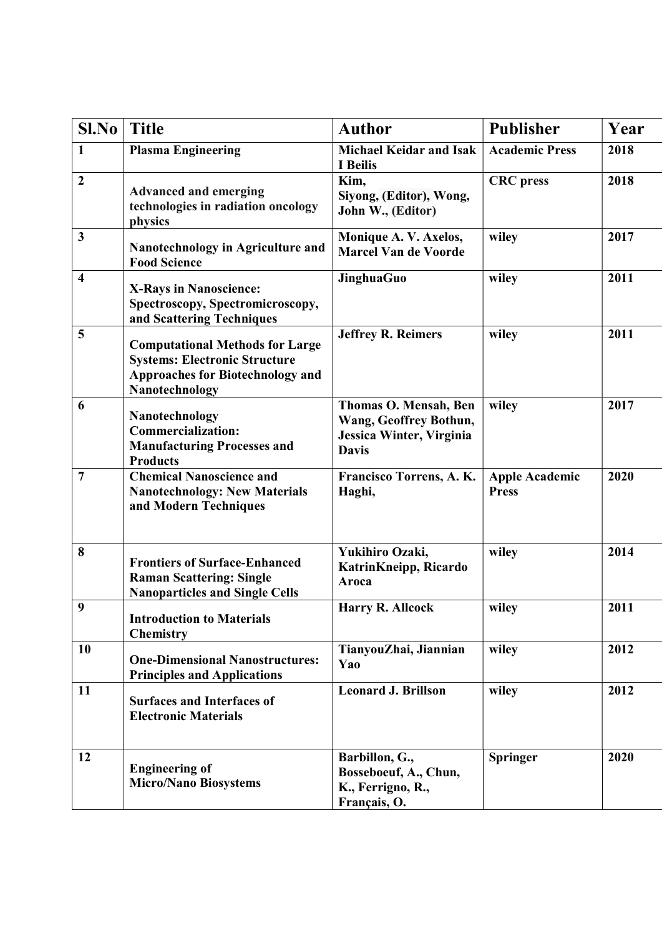| Sl.No                   | <b>Title</b>                                                                                                                         | <b>Author</b>                                                                               | <b>Publisher</b>                      | Year |
|-------------------------|--------------------------------------------------------------------------------------------------------------------------------------|---------------------------------------------------------------------------------------------|---------------------------------------|------|
| $\mathbf{1}$            | <b>Plasma Engineering</b>                                                                                                            | <b>Michael Keidar and Isak</b><br>I Beilis                                                  | <b>Academic Press</b>                 | 2018 |
| $\boldsymbol{2}$        | <b>Advanced and emerging</b><br>technologies in radiation oncology<br>physics                                                        | Kim,<br>Siyong, (Editor), Wong,<br>John W., (Editor)                                        | <b>CRC</b> press                      | 2018 |
| 3                       | Nanotechnology in Agriculture and<br><b>Food Science</b>                                                                             | Monique A.V. Axelos,<br><b>Marcel Van de Voorde</b>                                         | wiley                                 | 2017 |
| $\overline{\mathbf{4}}$ | <b>X-Rays in Nanoscience:</b><br>Spectroscopy, Spectromicroscopy,<br>and Scattering Techniques                                       | JinghuaGuo                                                                                  | wiley                                 | 2011 |
| 5                       | <b>Computational Methods for Large</b><br><b>Systems: Electronic Structure</b><br>Approaches for Biotechnology and<br>Nanotechnology | <b>Jeffrey R. Reimers</b>                                                                   | wiley                                 | 2011 |
| 6                       | Nanotechnology<br><b>Commercialization:</b><br><b>Manufacturing Processes and</b><br><b>Products</b>                                 | Thomas O. Mensah, Ben<br>Wang, Geoffrey Bothun,<br>Jessica Winter, Virginia<br><b>Davis</b> | wiley                                 | 2017 |
| $\overline{7}$          | <b>Chemical Nanoscience and</b><br><b>Nanotechnology: New Materials</b><br>and Modern Techniques                                     | Francisco Torrens, A. K.<br>Haghi,                                                          | <b>Apple Academic</b><br><b>Press</b> | 2020 |
| 8                       | <b>Frontiers of Surface-Enhanced</b><br><b>Raman Scattering: Single</b><br><b>Nanoparticles and Single Cells</b>                     | Yukihiro Ozaki,<br>KatrinKneipp, Ricardo<br>Aroca                                           | wiley                                 | 2014 |
| 9                       | <b>Introduction to Materials</b><br><b>Chemistry</b>                                                                                 | Harry R. Allcock                                                                            | wiley                                 | 2011 |
| 10                      | <b>One-Dimensional Nanostructures:</b><br><b>Principles and Applications</b>                                                         | TianyouZhai, Jiannian<br>Yao                                                                | wiley                                 | 2012 |
| 11                      | <b>Surfaces and Interfaces of</b><br><b>Electronic Materials</b>                                                                     | <b>Leonard J. Brillson</b>                                                                  | wiley                                 | 2012 |
| 12                      | <b>Engineering of</b><br><b>Micro/Nano Biosystems</b>                                                                                | Barbillon, G.,<br>Bosseboeuf, A., Chun,<br>K., Ferrigno, R.,<br>Français, O.                | <b>Springer</b>                       | 2020 |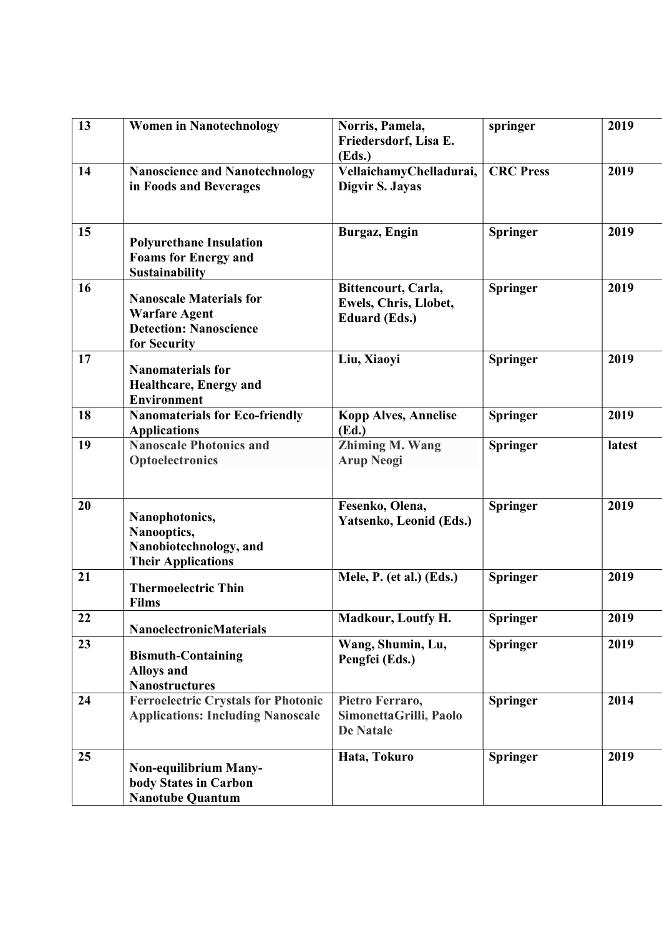| 13 | <b>Women in Nanotechnology</b>                                                                          | Norris, Pamela,<br>Friedersdorf, Lisa E.<br>(Eds.)                   | springer         | 2019   |
|----|---------------------------------------------------------------------------------------------------------|----------------------------------------------------------------------|------------------|--------|
| 14 | <b>Nanoscience and Nanotechnology</b><br>in Foods and Beverages                                         | VellaichamyChelladurai,<br>Digvir S. Jayas                           | <b>CRC</b> Press | 2019   |
| 15 | <b>Polyurethane Insulation</b><br><b>Foams for Energy and</b><br><b>Sustainability</b>                  | Burgaz, Engin                                                        | <b>Springer</b>  | 2019   |
| 16 | <b>Nanoscale Materials for</b><br><b>Warfare Agent</b><br><b>Detection: Nanoscience</b><br>for Security | Bittencourt, Carla,<br>Ewels, Chris, Llobet,<br><b>Eduard (Eds.)</b> | <b>Springer</b>  | 2019   |
| 17 | <b>Nanomaterials for</b><br><b>Healthcare, Energy and</b><br><b>Environment</b>                         | Liu, Xiaoyi                                                          | <b>Springer</b>  | 2019   |
| 18 | <b>Nanomaterials for Eco-friendly</b><br><b>Applications</b>                                            | <b>Kopp Alves, Annelise</b><br>(Ed.)                                 | <b>Springer</b>  | 2019   |
| 19 | <b>Nanoscale Photonics and</b><br>Optoelectronics                                                       | Zhiming M. Wang<br><b>Arup Neogi</b>                                 | <b>Springer</b>  | latest |
| 20 | Nanophotonics,<br>Nanooptics,<br>Nanobiotechnology, and<br><b>Their Applications</b>                    | Fesenko, Olena,<br>Yatsenko, Leonid (Eds.)                           | <b>Springer</b>  | 2019   |
| 21 | <b>Thermoelectric Thin</b><br><b>Films</b>                                                              | Mele, P. (et al.) (Eds.)                                             | <b>Springer</b>  | 2019   |
| 22 | <b>NanoelectronicMaterials</b>                                                                          | Madkour, Loutfy H.                                                   | <b>Springer</b>  | 2019   |
| 23 | <b>Bismuth-Containing</b><br><b>Alloys and</b><br><b>Nanostructures</b>                                 | Wang, Shumin, Lu,<br>Pengfei (Eds.)                                  | <b>Springer</b>  | 2019   |
| 24 | <b>Ferroelectric Crystals for Photonic</b><br><b>Applications: Including Nanoscale</b>                  | Pietro Ferraro,<br>SimonettaGrilli, Paolo<br><b>De Natale</b>        | <b>Springer</b>  | 2014   |
| 25 | <b>Non-equilibrium Many-</b><br>body States in Carbon<br><b>Nanotube Quantum</b>                        | Hata, Tokuro                                                         | <b>Springer</b>  | 2019   |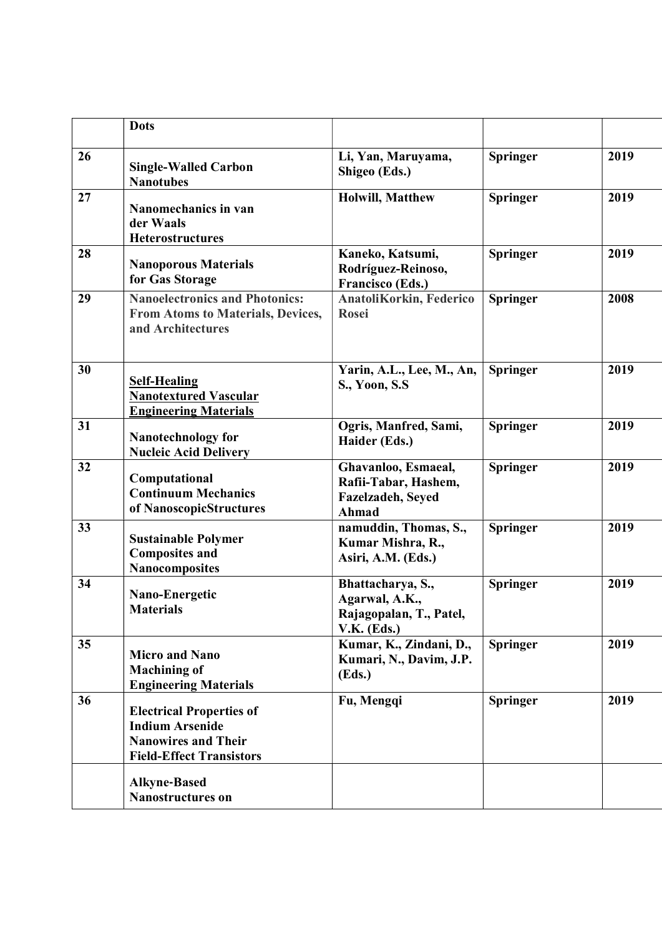|    | <b>Dots</b>                                                                                                                |                                                                                 |                 |      |
|----|----------------------------------------------------------------------------------------------------------------------------|---------------------------------------------------------------------------------|-----------------|------|
| 26 | <b>Single-Walled Carbon</b><br><b>Nanotubes</b>                                                                            | Li, Yan, Maruyama,<br>Shigeo (Eds.)                                             | <b>Springer</b> | 2019 |
| 27 | Nanomechanics in van<br>der Waals<br><b>Heterostructures</b>                                                               | <b>Holwill, Matthew</b>                                                         | <b>Springer</b> | 2019 |
| 28 | <b>Nanoporous Materials</b><br>for Gas Storage                                                                             | Kaneko, Katsumi,<br>Rodríguez-Reinoso,<br>Francisco (Eds.)                      | <b>Springer</b> | 2019 |
| 29 | <b>Nanoelectronics and Photonics:</b><br>From Atoms to Materials, Devices,<br>and Architectures                            | AnatoliKorkin, Federico<br>Rosei                                                | <b>Springer</b> | 2008 |
| 30 | <b>Self-Healing</b><br><b>Nanotextured Vascular</b><br><b>Engineering Materials</b>                                        | Yarin, A.L., Lee, M., An,<br>S., Yoon, S.S.                                     | Springer        | 2019 |
| 31 | <b>Nanotechnology for</b><br><b>Nucleic Acid Delivery</b>                                                                  | Ogris, Manfred, Sami,<br>Haider (Eds.)                                          | <b>Springer</b> | 2019 |
| 32 | Computational<br><b>Continuum Mechanics</b><br>of NanoscopicStructures                                                     | Ghavanloo, Esmaeal,<br>Rafii-Tabar, Hashem,<br>Fazelzadeh, Seyed<br>Ahmad       | <b>Springer</b> | 2019 |
| 33 | <b>Sustainable Polymer</b><br><b>Composites and</b><br><b>Nanocomposites</b>                                               | namuddin, Thomas, S.,<br>Kumar Mishra, R.,<br>Asiri, A.M. (Eds.)                | <b>Springer</b> | 2019 |
| 34 | Nano-Energetic<br><b>Materials</b>                                                                                         | Bhattacharya, S.,<br>Agarwal, A.K.,<br>Rajagopalan, T., Patel,<br>$V.K.$ (Eds.) | <b>Springer</b> | 2019 |
| 35 | <b>Micro and Nano</b><br><b>Machining of</b><br><b>Engineering Materials</b>                                               | Kumar, K., Zindani, D.,<br>Kumari, N., Davim, J.P.<br>(Eds.)                    | <b>Springer</b> | 2019 |
| 36 | <b>Electrical Properties of</b><br><b>Indium Arsenide</b><br><b>Nanowires and Their</b><br><b>Field-Effect Transistors</b> | Fu, Mengqi                                                                      | <b>Springer</b> | 2019 |
|    | <b>Alkyne-Based</b><br>Nanostructures on                                                                                   |                                                                                 |                 |      |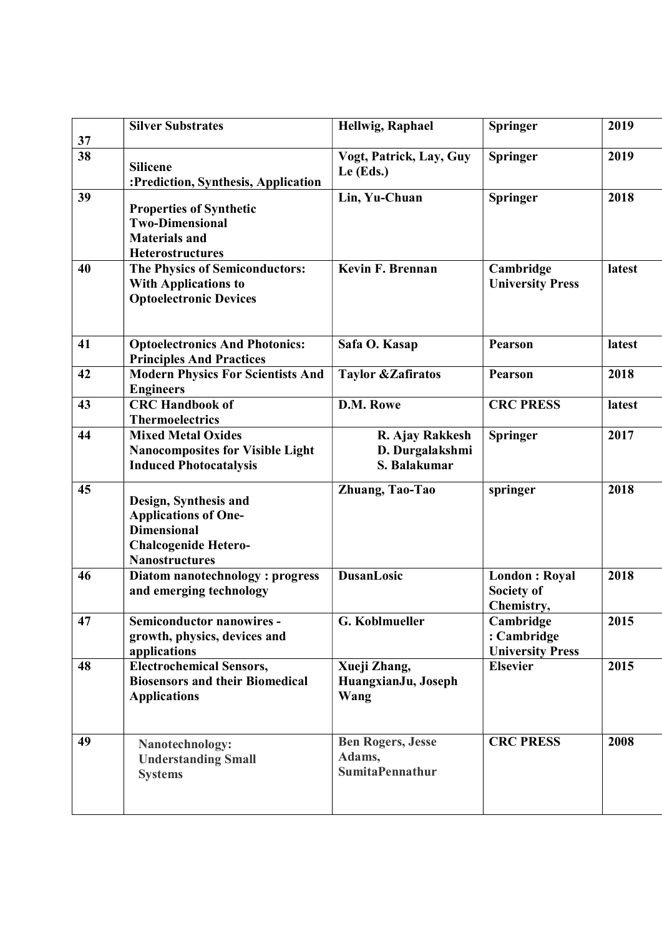| 37 | <b>Silver Substrates</b>                                                                                                           | Hellwig, Raphael                                             | <b>Springer</b>                                     | 2019   |
|----|------------------------------------------------------------------------------------------------------------------------------------|--------------------------------------------------------------|-----------------------------------------------------|--------|
| 38 | <b>Silicene</b><br>:Prediction, Synthesis, Application                                                                             | Vogt, Patrick, Lay, Guy<br>Le $(Eds.)$                       | <b>Springer</b>                                     | 2019   |
| 39 | <b>Properties of Synthetic</b><br><b>Two-Dimensional</b><br><b>Materials and</b><br><b>Heterostructures</b>                        | Lin, Yu-Chuan                                                | <b>Springer</b>                                     | 2018   |
| 40 | The Physics of Semiconductors:<br><b>With Applications to</b><br><b>Optoelectronic Devices</b>                                     | Kevin F. Brennan                                             | Cambridge<br><b>University Press</b>                | latest |
| 41 | <b>Optoelectronics And Photonics:</b><br><b>Principles And Practices</b>                                                           | Safa O. Kasap                                                | <b>Pearson</b>                                      | latest |
| 42 | <b>Modern Physics For Scientists And</b><br><b>Engineers</b>                                                                       | <b>Taylor &amp; Zafiratos</b>                                | <b>Pearson</b>                                      | 2018   |
| 43 | <b>CRC Handbook of</b><br><b>Thermoelectrics</b>                                                                                   | D.M. Rowe                                                    | <b>CRC PRESS</b>                                    | latest |
| 44 | <b>Mixed Metal Oxides</b><br><b>Nanocomposites for Visible Light</b><br><b>Induced Photocatalysis</b>                              | R. Ajay Rakkesh<br>D. Durgalakshmi<br>S. Balakumar           | <b>Springer</b>                                     | 2017   |
| 45 | Design, Synthesis and<br><b>Applications of One-</b><br><b>Dimensional</b><br><b>Chalcogenide Hetero-</b><br><b>Nanostructures</b> | Zhuang, Tao-Tao                                              | springer                                            | 2018   |
| 46 | Diatom nanotechnology: progress<br>and emerging technology                                                                         | <b>DusanLosic</b>                                            | <b>London: Royal</b><br>Society of<br>Chemistry,    | 2018   |
| 47 | Semiconductor nanowires -<br>growth, physics, devices and<br>applications                                                          | G. Koblmueller                                               | Cambridge<br>: Cambridge<br><b>University Press</b> | 2015   |
| 48 | <b>Electrochemical Sensors,</b><br><b>Biosensors and their Biomedical</b><br><b>Applications</b>                                   | Xueji Zhang,<br>HuangxianJu, Joseph<br>Wang                  | <b>Elsevier</b>                                     | 2015   |
| 49 | Nanotechnology:<br><b>Understanding Small</b><br><b>Systems</b>                                                                    | <b>Ben Rogers, Jesse</b><br>Adams,<br><b>SumitaPennathur</b> | <b>CRC PRESS</b>                                    | 2008   |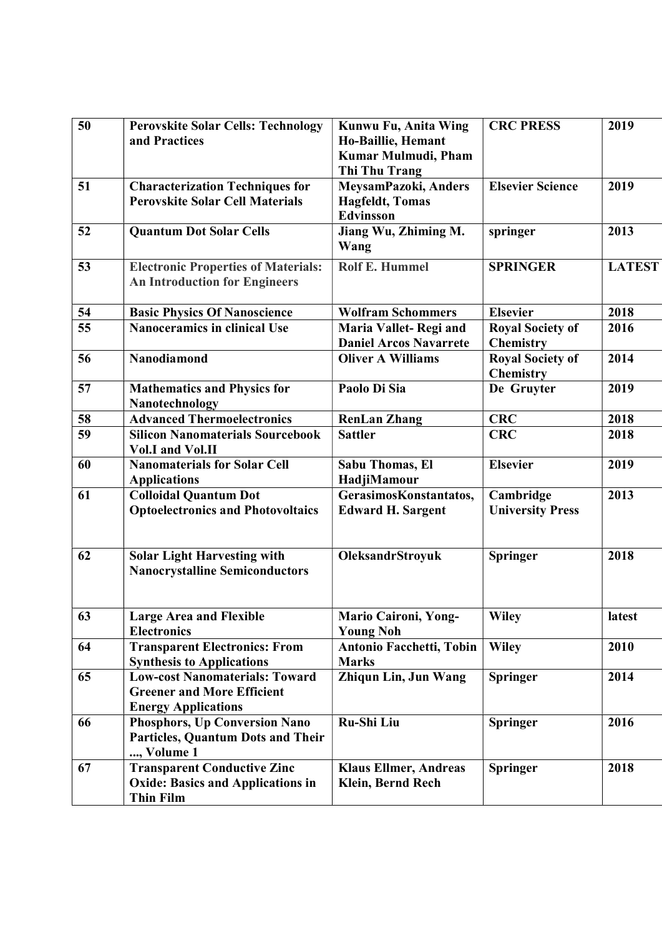| 50 | <b>Perovskite Solar Cells: Technology</b><br>and Practices                                               | Kunwu Fu, Anita Wing<br>Ho-Baillie, Hemant<br>Kumar Mulmudi, Pham<br>Thi Thu Trang | <b>CRC PRESS</b>                            | 2019          |
|----|----------------------------------------------------------------------------------------------------------|------------------------------------------------------------------------------------|---------------------------------------------|---------------|
| 51 | <b>Characterization Techniques for</b><br><b>Perovskite Solar Cell Materials</b>                         | MeysamPazoki, Anders<br><b>Hagfeldt</b> , Tomas<br><b>Edvinsson</b>                | <b>Elsevier Science</b>                     | 2019          |
| 52 | <b>Quantum Dot Solar Cells</b>                                                                           | Jiang Wu, Zhiming M.<br>Wang                                                       | springer                                    | 2013          |
| 53 | <b>Electronic Properties of Materials:</b><br><b>An Introduction for Engineers</b>                       | <b>Rolf E. Hummel</b>                                                              | <b>SPRINGER</b>                             | <b>LATEST</b> |
| 54 | <b>Basic Physics Of Nanoscience</b>                                                                      | <b>Wolfram Schommers</b>                                                           | <b>Elsevier</b>                             | 2018          |
| 55 | <b>Nanoceramics in clinical Use</b>                                                                      | Maria Vallet-Regi and<br><b>Daniel Arcos Navarrete</b>                             | <b>Royal Society of</b><br><b>Chemistry</b> | 2016          |
| 56 | Nanodiamond                                                                                              | <b>Oliver A Williams</b>                                                           | <b>Royal Society of</b><br><b>Chemistry</b> | 2014          |
| 57 | <b>Mathematics and Physics for</b><br>Nanotechnology                                                     | Paolo Di Sia                                                                       | De Gruyter                                  | 2019          |
| 58 | <b>Advanced Thermoelectronics</b>                                                                        | <b>RenLan Zhang</b>                                                                | <b>CRC</b>                                  | 2018          |
| 59 | <b>Silicon Nanomaterials Sourcebook</b><br><b>Vol.I</b> and Vol.II                                       | <b>Sattler</b>                                                                     | <b>CRC</b>                                  | 2018          |
| 60 | <b>Nanomaterials for Solar Cell</b><br><b>Applications</b>                                               | <b>Sabu Thomas, El</b><br>HadjiMamour                                              | <b>Elsevier</b>                             | 2019          |
| 61 | <b>Colloidal Quantum Dot</b><br><b>Optoelectronics and Photovoltaics</b>                                 | GerasimosKonstantatos,<br><b>Edward H. Sargent</b>                                 | Cambridge<br><b>University Press</b>        | 2013          |
| 62 | <b>Solar Light Harvesting with</b><br><b>Nanocrystalline Semiconductors</b>                              | OleksandrStroyuk                                                                   | <b>Springer</b>                             | 2018          |
| 63 | <b>Large Area and Flexible</b><br><b>Electronics</b>                                                     | Mario Caironi, Yong-<br><b>Young Noh</b>                                           | <b>Wiley</b>                                | latest        |
| 64 | <b>Transparent Electronics: From</b><br><b>Synthesis to Applications</b>                                 | Antonio Facchetti, Tobin<br><b>Marks</b>                                           | <b>Wiley</b>                                | 2010          |
| 65 | <b>Low-cost Nanomaterials: Toward</b><br><b>Greener and More Efficient</b><br><b>Energy Applications</b> | Zhiqun Lin, Jun Wang                                                               | <b>Springer</b>                             | 2014          |
| 66 | Phosphors, Up Conversion Nano<br>Particles, Quantum Dots and Their<br>, Volume 1                         | Ru-Shi Liu                                                                         | <b>Springer</b>                             | 2016          |
| 67 | <b>Transparent Conductive Zinc</b><br><b>Oxide: Basics and Applications in</b><br><b>Thin Film</b>       | <b>Klaus Ellmer, Andreas</b><br><b>Klein, Bernd Rech</b>                           | <b>Springer</b>                             | 2018          |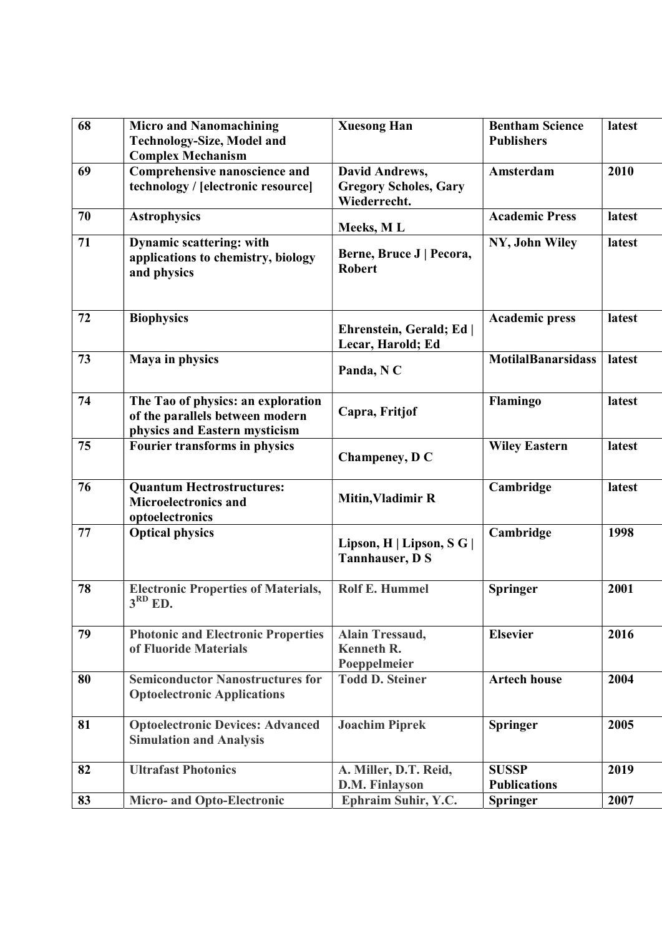| 68 | <b>Micro and Nanomachining</b>                                                                         | <b>Xuesong Han</b>                                          | <b>Bentham Science</b>    | latest |
|----|--------------------------------------------------------------------------------------------------------|-------------------------------------------------------------|---------------------------|--------|
|    | <b>Technology-Size, Model and</b>                                                                      |                                                             | <b>Publishers</b>         |        |
|    | <b>Complex Mechanism</b>                                                                               |                                                             |                           |        |
| 69 | Comprehensive nanoscience and                                                                          | David Andrews,                                              | Amsterdam                 | 2010   |
|    | technology / [electronic resource]                                                                     | <b>Gregory Scholes, Gary</b>                                |                           |        |
|    |                                                                                                        | Wiederrecht.                                                |                           |        |
| 70 | <b>Astrophysics</b>                                                                                    | Meeks, ML                                                   | <b>Academic Press</b>     | latest |
| 71 | <b>Dynamic scattering: with</b><br>applications to chemistry, biology<br>and physics                   | Berne, Bruce J   Pecora,<br><b>Robert</b>                   | NY, John Wiley            | latest |
| 72 | <b>Biophysics</b>                                                                                      | Ehrenstein, Gerald; Ed  <br>Lecar, Harold; Ed               | <b>Academic press</b>     | latest |
| 73 | Maya in physics                                                                                        | Panda, NC                                                   | <b>MotilalBanarsidass</b> | latest |
| 74 | The Tao of physics: an exploration<br>of the parallels between modern<br>physics and Eastern mysticism | Capra, Fritjof                                              | Flamingo                  | latest |
| 75 | <b>Fourier transforms in physics</b>                                                                   | Champeney, D C                                              | <b>Wiley Eastern</b>      | latest |
| 76 | <b>Quantum Hectrostructures:</b><br><b>Microelectronics and</b><br>optoelectronics                     | <b>Mitin, Vladimir R</b>                                    | Cambridge                 | latest |
| 77 | <b>Optical physics</b>                                                                                 | Lipson, H   Lipson, S G  <br><b>Tannhauser, D S</b>         | Cambridge                 | 1998   |
| 78 | <b>Electronic Properties of Materials,</b><br>$3RD$ ED.                                                | <b>Rolf E. Hummel</b>                                       | <b>Springer</b>           | 2001   |
| 79 | <b>Photonic and Electronic Properties</b><br>of Fluoride Materials                                     | <b>Alain Tressaud,</b><br><b>Kenneth R.</b><br>Poeppelmeier | <b>Elsevier</b>           | 2016   |
| 80 | <b>Semiconductor Nanostructures for</b><br><b>Optoelectronic Applications</b>                          | <b>Todd D. Steiner</b>                                      | <b>Artech house</b>       | 2004   |
| 81 | <b>Optoelectronic Devices: Advanced</b><br><b>Simulation and Analysis</b>                              | <b>Joachim Piprek</b>                                       | <b>Springer</b>           | 2005   |
| 82 | <b>Ultrafast Photonics</b>                                                                             | A. Miller, D.T. Reid,                                       | <b>SUSSP</b>              | 2019   |
|    |                                                                                                        | D.M. Finlayson                                              | <b>Publications</b>       |        |
| 83 | <b>Micro- and Opto-Electronic</b>                                                                      | Ephraim Suhir, Y.C.                                         | <b>Springer</b>           | 2007   |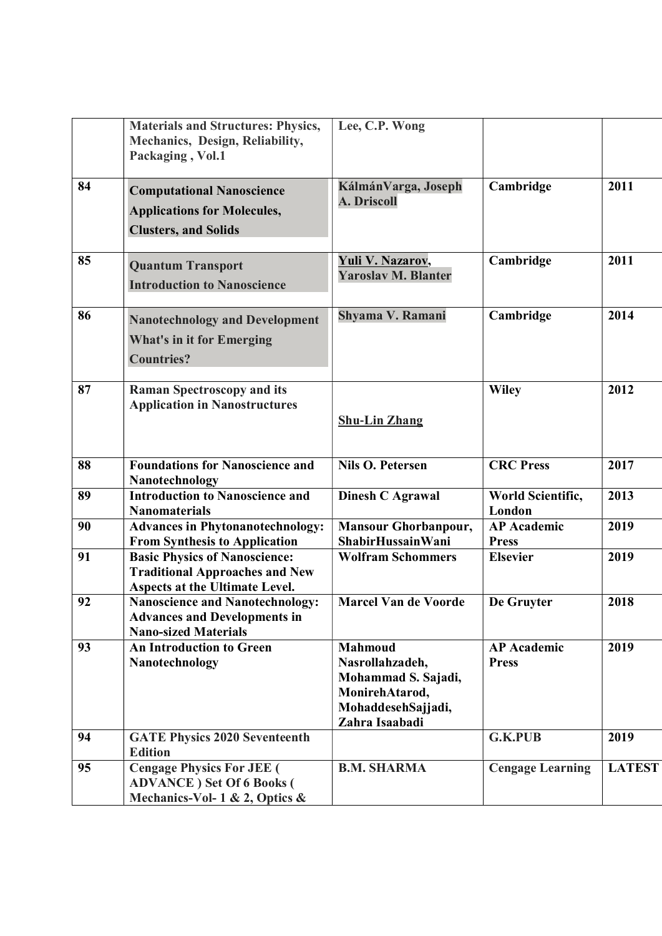|    | <b>Materials and Structures: Physics,</b><br>Mechanics, Design, Reliability,<br>Packaging, Vol.1                | Lee, C.P. Wong                                                                                                     |                                    |               |
|----|-----------------------------------------------------------------------------------------------------------------|--------------------------------------------------------------------------------------------------------------------|------------------------------------|---------------|
| 84 | <b>Computational Nanoscience</b><br><b>Applications for Molecules,</b><br><b>Clusters, and Solids</b>           | KálmánVarga, Joseph<br><b>A. Driscoll</b>                                                                          | Cambridge                          | 2011          |
| 85 | <b>Quantum Transport</b><br><b>Introduction to Nanoscience</b>                                                  | Yuli V. Nazarov,<br><b>Yaroslav M. Blanter</b>                                                                     | Cambridge                          | 2011          |
| 86 | <b>Nanotechnology and Development</b><br><b>What's in it for Emerging</b><br><b>Countries?</b>                  | Shyama V. Ramani                                                                                                   | Cambridge                          | 2014          |
| 87 | <b>Raman Spectroscopy and its</b><br><b>Application in Nanostructures</b>                                       | <b>Shu-Lin Zhang</b>                                                                                               | <b>Wiley</b>                       | 2012          |
| 88 | <b>Foundations for Nanoscience and</b><br>Nanotechnology                                                        | <b>Nils O. Petersen</b>                                                                                            | <b>CRC</b> Press                   | 2017          |
| 89 | <b>Introduction to Nanoscience and</b><br><b>Nanomaterials</b>                                                  | Dinesh C Agrawal                                                                                                   | World Scientific,<br>London        | 2013          |
| 90 | <b>Advances in Phytonanotechnology:</b><br><b>From Synthesis to Application</b>                                 | <b>Mansour Ghorbanpour,</b><br><b>ShabirHussainWani</b>                                                            | <b>AP</b> Academic<br><b>Press</b> | 2019          |
| 91 | <b>Basic Physics of Nanoscience:</b><br><b>Traditional Approaches and New</b><br>Aspects at the Ultimate Level. | <b>Wolfram Schommers</b>                                                                                           | <b>Elsevier</b>                    | 2019          |
| 92 | <b>Nanoscience and Nanotechnology:</b><br><b>Advances and Developments in</b><br><b>Nano-sized Materials</b>    | <b>Marcel Van de Voorde</b>                                                                                        | De Gruyter                         | 2018          |
| 93 | <b>An Introduction to Green</b><br>Nanotechnology                                                               | <b>Mahmoud</b><br>Nasrollahzadeh,<br>Mohammad S. Sajadi,<br>MonirehAtarod,<br>MohaddesehSajjadi,<br>Zahra Isaabadi | <b>AP</b> Academic<br><b>Press</b> | 2019          |
| 94 | <b>GATE Physics 2020 Seventeenth</b><br><b>Edition</b>                                                          |                                                                                                                    | <b>G.K.PUB</b>                     | 2019          |
| 95 | <b>Cengage Physics For JEE</b> (<br><b>ADVANCE</b> ) Set Of 6 Books (<br>Mechanics-Vol- $1 \& 2$ , Optics $\&$  | <b>B.M. SHARMA</b>                                                                                                 | <b>Cengage Learning</b>            | <b>LATEST</b> |